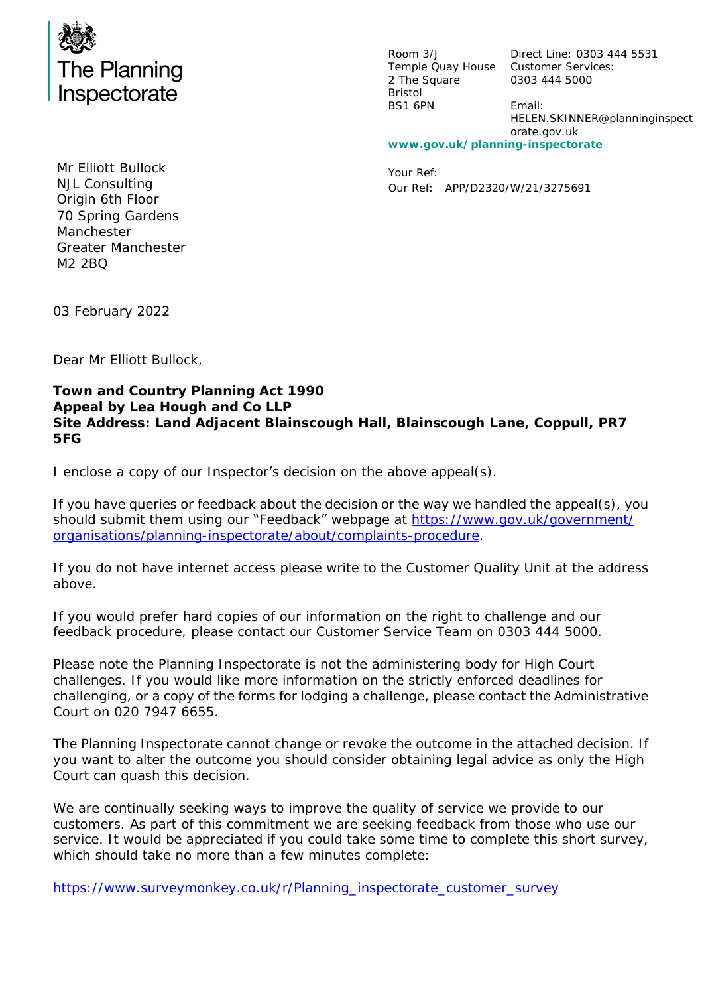

Room 3/J Temple Quay House Customer Services: 2 The Square Bristol BS1 6PN

Direct Line: 0303 444 5531 0303 444 5000 Email: HELEN.SKINNER@planninginspect orate.gov.uk **www.gov.uk/planning-inspectorate**

Your Ref: Our Ref: APP/D2320/W/21/3275691

Mr Elliott Bullock NJL Consulting Origin 6th Floor 70 Spring Gardens Manchester Greater Manchester M2 2BQ

03 February 2022

Dear Mr Elliott Bullock,

**Town and Country Planning Act 1990 Appeal by Lea Hough and Co LLP Site Address: Land Adjacent Blainscough Hall, Blainscough Lane, Coppull, PR7 5FG**

I enclose a copy of our Inspector's decision on the above appeal(s).

If you have queries or feedback about the decision or the way we handled the appeal(s), you should submit them using our "Feedback" webpage at [https://www.gov.uk/government/](https://www.gov.uk/government/organisations/planning-inspectorate/about/complaints-procedure) [organisations/planning-inspectorate/about/complaints-procedure.](https://www.gov.uk/government/organisations/planning-inspectorate/about/complaints-procedure)

If you do not have internet access please write to the Customer Quality Unit at the address above.

If you would prefer hard copies of our information on the right to challenge and our feedback procedure, please contact our Customer Service Team on 0303 444 5000.

Please note the Planning Inspectorate is not the administering body for High Court challenges. If you would like more information on the strictly enforced deadlines for challenging, or a copy of the forms for lodging a challenge, please contact the Administrative Court on 020 7947 6655.

The Planning Inspectorate cannot change or revoke the outcome in the attached decision. If you want to alter the outcome you should consider obtaining legal advice as only the High Court can quash this decision.

We are continually seeking ways to improve the quality of service we provide to our customers. As part of this commitment we are seeking feedback from those who use our service. It would be appreciated if you could take some time to complete this short survey, which should take no more than a few minutes complete:

[https://www.surveymonkey.co.uk/r/Planning\\_inspectorate\\_customer\\_survey](https://www.surveymonkey.co.uk/r/Planning_inspectorate_customer_survey)